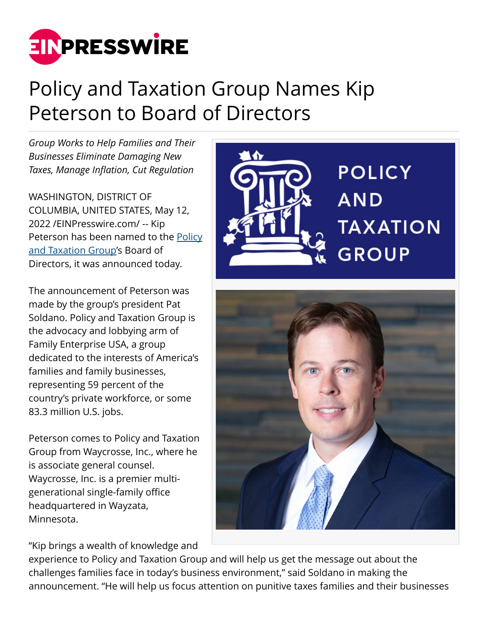

## Policy and Taxation Group Names Kip Peterson to Board of Directors

*Group Works to Help Families and Their Businesses Eliminate Damaging New Taxes, Manage Inflation, Cut Regulation*

WASHINGTON, DISTRICT OF COLUMBIA, UNITED STATES, May 12, 2022 /[EINPresswire.com](http://www.einpresswire.com)/ -- Kip Peterson has been named to the [Policy](https://policyandtaxationgroup.com/) [and Taxation Group](https://policyandtaxationgroup.com/)'s Board of Directors, it was announced today.

The announcement of Peterson was made by the group's president Pat Soldano. Policy and Taxation Group is the advocacy and lobbying arm of Family Enterprise USA, a group dedicated to the interests of America's families and family businesses, representing 59 percent of the country's private workforce, or some 83.3 million U.S. jobs.

Peterson comes to Policy and Taxation Group from Waycrosse, Inc., where he is associate general counsel. Waycrosse, Inc. is a premier multigenerational single-family office headquartered in Wayzata, Minnesota.

"Kip brings a wealth of knowledge and





experience to Policy and Taxation Group and will help us get the message out about the challenges families face in today's business environment," said Soldano in making the announcement. "He will help us focus attention on punitive taxes families and their businesses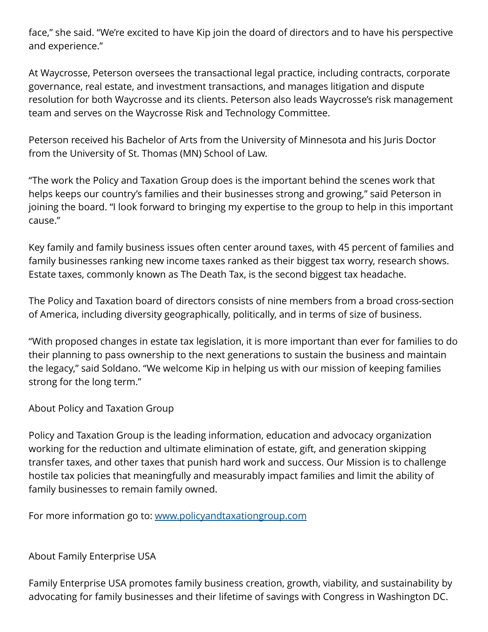face," she said. "We're excited to have Kip join the doard of directors and to have his perspective and experience."

At Waycrosse, Peterson oversees the transactional legal practice, including contracts, corporate governance, real estate, and investment transactions, and manages litigation and dispute resolution for both Waycrosse and its clients. Peterson also leads Waycrosse's risk management team and serves on the Waycrosse Risk and Technology Committee.

Peterson received his Bachelor of Arts from the University of Minnesota and his Juris Doctor from the University of St. Thomas (MN) School of Law.

"The work the Policy and Taxation Group does is the important behind the scenes work that helps keeps our country's families and their businesses strong and growing," said Peterson in joining the board. "I look forward to bringing my expertise to the group to help in this important cause."

Key family and family business issues often center around taxes, with 45 percent of families and family businesses ranking new income taxes ranked as their biggest tax worry, research shows. Estate taxes, commonly known as The Death Tax, is the second biggest tax headache.

The Policy and Taxation board of directors consists of nine members from a broad cross-section of America, including diversity geographically, politically, and in terms of size of business.

"With proposed changes in estate tax legislation, it is more important than ever for families to do their planning to pass ownership to the next generations to sustain the business and maintain the legacy," said Soldano. "We welcome Kip in helping us with our mission of keeping families strong for the long term."

About Policy and Taxation Group

Policy and Taxation Group is the leading information, education and advocacy organization working for the reduction and ultimate elimination of estate, gift, and generation skipping transfer taxes, and other taxes that punish hard work and success. Our Mission is to challenge hostile tax policies that meaningfully and measurably impact families and limit the ability of family businesses to remain family owned.

For more information go to: [www.policyandtaxationgroup.com](http://www.policyandtaxationgroup.com)

About Family Enterprise USA

Family Enterprise USA promotes family business creation, growth, viability, and sustainability by advocating for family businesses and their lifetime of savings with Congress in Washington DC.